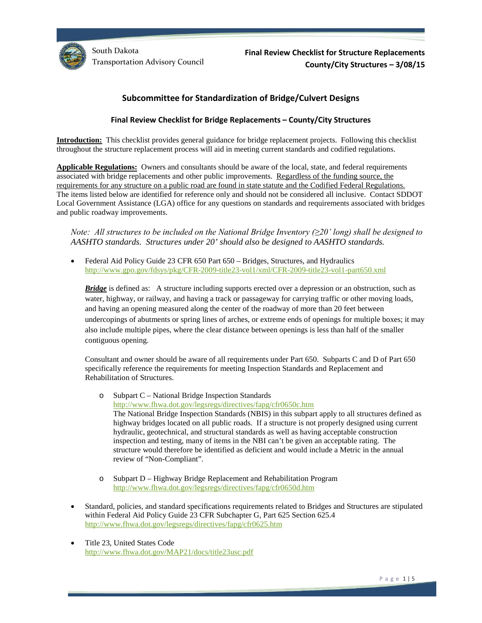

**Final Review Checklist for Structure Replacements County/City Structures – 3/08/15**

# **Subcommittee for Standardization of Bridge/Culvert Designs**

#### **Final Review Checklist for Bridge Replacements – County/City Structures**

**Introduction:** This checklist provides general guidance for bridge replacement projects. Following this checklist throughout the structure replacement process will aid in meeting current standards and codified regulations.

**Applicable Regulations:** Owners and consultants should be aware of the local, state, and federal requirements associated with bridge replacements and other public improvements. Regardless of the funding source, the requirements for any structure on a public road are found in state statute and the Codified Federal Regulations. The items listed below are identified for reference only and should not be considered all inclusive. Contact SDDOT Local Government Assistance (LGA) office for any questions on standards and requirements associated with bridges and public roadway improvements.

*Note: All structures to be included on the National Bridge Inventory (≥20' long) shall be designed to AASHTO standards. Structures under 20' should also be designed to AASHTO standards.*

• Federal Aid Policy Guide 23 CFR 650 Part 650 – Bridges, Structures, and Hydraulics <http://www.gpo.gov/fdsys/pkg/CFR-2009-title23-vol1/xml/CFR-2009-title23-vol1-part650.xml>

*Bridge* is defined as: A structure including supports erected over a depression or an obstruction, such as water, highway, or railway, and having a track or passageway for carrying traffic or other moving loads, and having an opening measured along the center of the roadway of more than 20 feet between undercopings of abutments or spring lines of arches, or extreme ends of openings for multiple boxes; it may also include multiple pipes, where the clear distance between openings is less than half of the smaller contiguous opening.

Consultant and owner should be aware of all requirements under Part 650. Subparts C and D of Part 650 specifically reference the requirements for meeting Inspection Standards and Replacement and Rehabilitation of Structures.

o Subpart C – National Bridge Inspection Standards <http://www.fhwa.dot.gov/legsregs/directives/fapg/cfr0650c.htm> The National Bridge Inspection Standards (NBIS) in this subpart apply to all structures defined as highway bridges located on all public roads. If a structure is not properly designed using current hydraulic, geotechnical, and structural standards as well as having acceptable construction inspection and testing, many of items in the NBI can't be given an acceptable rating. The structure would therefore be identified as deficient and would include a Metric in the annual review of "Non-Compliant".

- o Subpart D Highway Bridge Replacement and Rehabilitation Program <http://www.fhwa.dot.gov/legsregs/directives/fapg/cfr0650d.htm>
- Standard, policies, and standard specifications requirements related to Bridges and Structures are stipulated within Federal Aid Policy Guide 23 CFR Subchapter G, Part 625 Section 625.4 <http://www.fhwa.dot.gov/legsregs/directives/fapg/cfr0625.htm>
- Title 23, United States Code <http://www.fhwa.dot.gov/MAP21/docs/title23usc.pdf>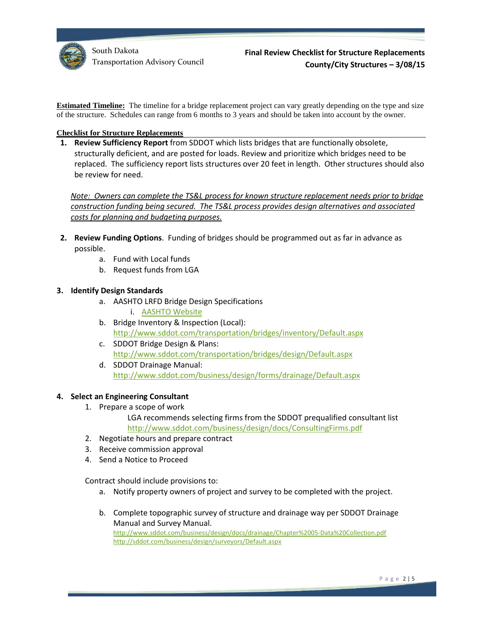

**Estimated Timeline:** The timeline for a bridge replacement project can vary greatly depending on the type and size of the structure. Schedules can range from 6 months to 3 years and should be taken into account by the owner.

## **Checklist for Structure Replacements**

**1. Review Sufficiency Report** from SDDOT which lists bridges that are functionally obsolete, structurally deficient, and are posted for loads. Review and prioritize which bridges need to be replaced. The sufficiency report lists structures over 20 feet in length. Other structures should also be review for need.

*Note: Owners can complete the TS&L process for known structure replacement needs prior to bridge construction funding being secured. The TS&L process provides design alternatives and associated costs for planning and budgeting purposes.* 

- **2. Review Funding Options**. Funding of bridges should be programmed out as far in advance as possible.
	- a. Fund with Local funds
	- b. Request funds from LGA

## **3. Identify Design Standards**

- a. AASHTO LRFD Bridge Design Specifications i. [AASHTO Website](https://bookstore.transportation.org/collection_detail.aspx?ID=141)
- b. Bridge Inventory & Inspection (Local): <http://www.sddot.com/transportation/bridges/inventory/Default.aspx>
- c. SDDOT Bridge Design & Plans: <http://www.sddot.com/transportation/bridges/design/Default.aspx>
- d. SDDOT Drainage Manual: <http://www.sddot.com/business/design/forms/drainage/Default.aspx>

## **4. Select an Engineering Consultant**

- 1. Prepare a scope of work
	- LGA recommends selecting firms from the SDDOT prequalified consultant list <http://www.sddot.com/business/design/docs/ConsultingFirms.pdf>
- 2. Negotiate hours and prepare contract
- 3. Receive commission approval
- 4. Send a Notice to Proceed

Contract should include provisions to:

- a. Notify property owners of project and survey to be completed with the project.
- b. Complete topographic survey of structure and drainage way per SDDOT Drainage Manual and Survey Manual. <http://www.sddot.com/business/design/docs/drainage/Chapter%2005-Data%20Collection.pdf> <http://sddot.com/business/design/surveyors/Default.aspx>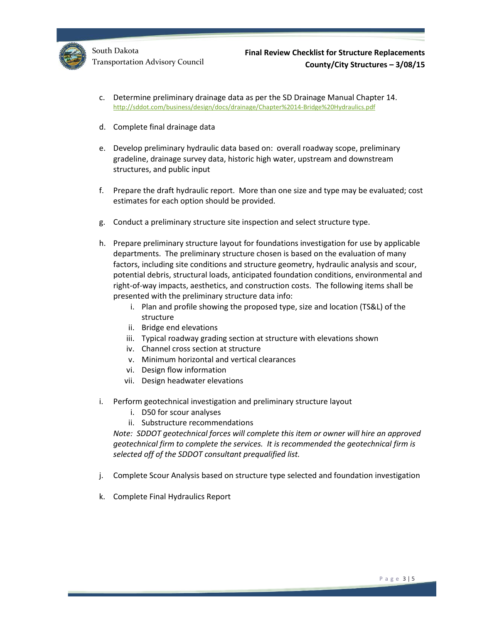

- c. Determine preliminary drainage data as per the SD Drainage Manual Chapter 14. <http://sddot.com/business/design/docs/drainage/Chapter%2014-Bridge%20Hydraulics.pdf>
- d. Complete final drainage data
- e. Develop preliminary hydraulic data based on: overall roadway scope, preliminary gradeline, drainage survey data, historic high water, upstream and downstream structures, and public input
- f. Prepare the draft hydraulic report. More than one size and type may be evaluated; cost estimates for each option should be provided.
- g. Conduct a preliminary structure site inspection and select structure type.
- h. Prepare preliminary structure layout for foundations investigation for use by applicable departments. The preliminary structure chosen is based on the evaluation of many factors, including site conditions and structure geometry, hydraulic analysis and scour, potential debris, structural loads, anticipated foundation conditions, environmental and right-of-way impacts, aesthetics, and construction costs. The following items shall be presented with the preliminary structure data info:
	- i. Plan and profile showing the proposed type, size and location (TS&L) of the structure
	- ii. Bridge end elevations
	- iii. Typical roadway grading section at structure with elevations shown
	- iv. Channel cross section at structure
	- v. Minimum horizontal and vertical clearances
	- vi. Design flow information
	- vii. Design headwater elevations
- i. Perform geotechnical investigation and preliminary structure layout
	- i. D50 for scour analyses
	- ii. Substructure recommendations

*Note: SDDOT geotechnical forces will complete this item or owner will hire an approved geotechnical firm to complete the services. It is recommended the geotechnical firm is selected off of the SDDOT consultant prequalified list.*

- j. Complete Scour Analysis based on structure type selected and foundation investigation
- k. Complete Final Hydraulics Report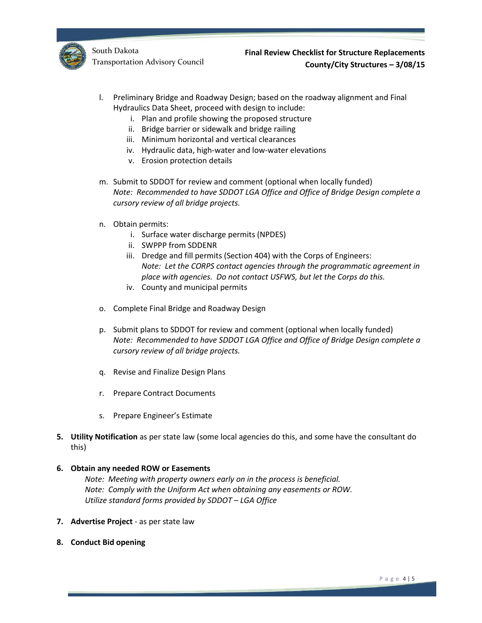

- l. Preliminary Bridge and Roadway Design; based on the roadway alignment and Final Hydraulics Data Sheet, proceed with design to include:
	- i. Plan and profile showing the proposed structure
	- ii. Bridge barrier or sidewalk and bridge railing
	- iii. Minimum horizontal and vertical clearances
	- iv. Hydraulic data, high-water and low-water elevations
	- v. Erosion protection details
- m. Submit to SDDOT for review and comment (optional when locally funded) *Note: Recommended to have SDDOT LGA Office and Office of Bridge Design complete a cursory review of all bridge projects.*
- n. Obtain permits:
	- i. Surface water discharge permits (NPDES)
	- ii. SWPPP from SDDENR
	- iii. Dredge and fill permits (Section 404) with the Corps of Engineers: *Note: Let the CORPS contact agencies through the programmatic agreement in place with agencies. Do not contact USFWS, but let the Corps do this.*
	- iv. County and municipal permits
- o. Complete Final Bridge and Roadway Design
- p. Submit plans to SDDOT for review and comment (optional when locally funded) *Note: Recommended to have SDDOT LGA Office and Office of Bridge Design complete a cursory review of all bridge projects.*
- q. Revise and Finalize Design Plans
- r. Prepare Contract Documents
- s. Prepare Engineer's Estimate
- **5. Utility Notification** as per state law (some local agencies do this, and some have the consultant do this)
- **6. Obtain any needed ROW or Easements**

*Note: Meeting with property owners early on in the process is beneficial. Note: Comply with the Uniform Act when obtaining any easements or ROW. Utilize standard forms provided by SDDOT – LGA Office*

- **7. Advertise Project** as per state law
- **8. Conduct Bid opening**